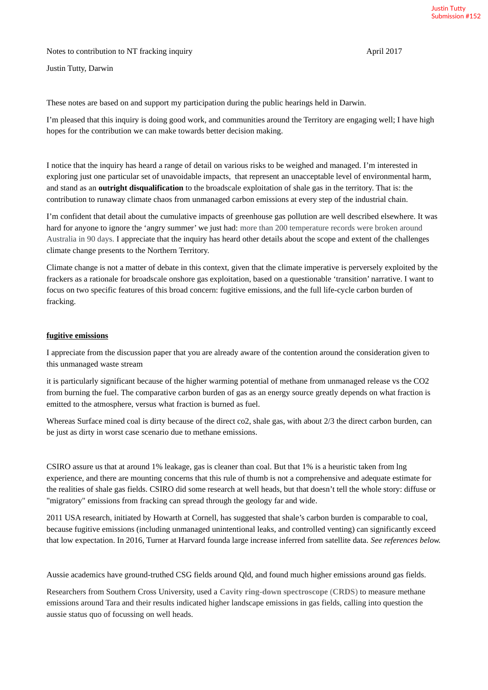Notes to contribution to NT fracking inquiry and the state of the April 2017

Justin Tutty, Darwin

These notes are based on and support my participation during the public hearings held in Darwin.

I'm pleased that this inquiry is doing good work, and communities around the Territory are engaging well; I have high hopes for the contribution we can make towards better decision making.

I notice that the inquiry has heard a range of detail on various risks to be weighed and managed. I'm interested in exploring just one particular set of unavoidable impacts, that represent an unacceptable level of environmental harm, and stand as an **outright disqualification** to the broadscale exploitation of shale gas in the territory. That is: the contribution to runaway climate chaos from unmanaged carbon emissions at every step of the industrial chain.

I'm confident that detail about the cumulative impacts of greenhouse gas pollution are well described elsewhere. It was hard for anyone to ignore the 'angry summer' we just had: more than 200 temperature records were broken around Australia in 90 days. I appreciate that the inquiry has heard other details about the scope and extent of the challenges climate change presents to the Northern Territory.

Climate change is not a matter of debate in this context, given that the climate imperative is perversely exploited by the frackers as a rationale for broadscale onshore gas exploitation, based on a questionable 'transition' narrative. I want to focus on two specific features of this broad concern: fugitive emissions, and the full life-cycle carbon burden of fracking.

## **fugitive emissions**

I appreciate from the discussion paper that you are already aware of the contention around the consideration given to this unmanaged waste stream

it is particularly significant because of the higher warming potential of methane from unmanaged release vs the CO2 from burning the fuel. The comparative carbon burden of gas as an energy source greatly depends on what fraction is emitted to the atmosphere, versus what fraction is burned as fuel.

Whereas Surface mined coal is dirty because of the direct co2, shale gas, with about 2/3 the direct carbon burden, can be just as dirty in worst case scenario due to methane emissions.

CSIRO assure us that at around 1% leakage, gas is cleaner than coal. But that 1% is a heuristic taken from lng experience, and there are mounting concerns that this rule of thumb is not a comprehensive and adequate estimate for the realities of shale gas fields. CSIRO did some research at well heads, but that doesn't tell the whole story: diffuse or "migratory" emissions from fracking can spread through the geology far and wide.

2011 USA research, initiated by Howarth at Cornell, has suggested that shale's carbon burden is comparable to coal, because fugitive emissions (including unmanaged unintentional leaks, and controlled venting) can significantly exceed that low expectation. In 2016, Turner at Harvard founda large increase inferred from satellite data. *See references below.*

Aussie academics have ground-truthed CSG fields around Qld, and found much higher emissions around gas fields.

Researchers from Southern Cross University, used a **Cavity ring**-**down spectroscope** (**CRDS**) to measure methane emissions around Tara and their results indicated higher landscape emissions in gas fields, calling into question the aussie status quo of focussing on well heads.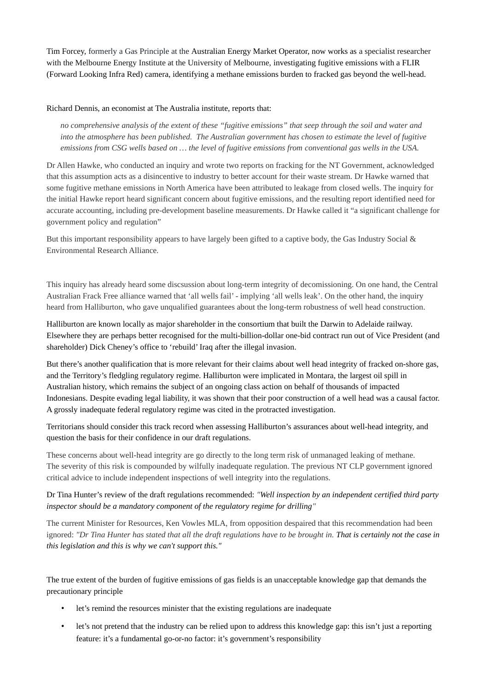Tim Forcey, formerly a Gas Principle at the Australian Energy Market Operator, now works as a specialist researcher with the Melbourne Energy Institute at the University of Melbourne, investigating fugitive emissions with a FLIR (Forward Looking Infra Red) camera, identifying a methane emissions burden to fracked gas beyond the well-head.

Richard Dennis, an economist at The Australia institute, reports that:

*no comprehensive analysis of the extent of these "fugitive emissions" that seep through the soil and water and into the atmosphere has been published. The Australian government has chosen to estimate the level of fugitive emissions from CSG wells based on … the level of fugitive emissions from conventional gas wells in the USA.*

Dr Allen Hawke, who conducted an inquiry and wrote two reports on fracking for the NT Government, acknowledged that this assumption acts as a disincentive to industry to better account for their waste stream. Dr Hawke warned that some fugitive methane emissions in North America have been attributed to leakage from closed wells. The inquiry for the initial Hawke report heard significant concern about fugitive emissions, and the resulting report identified need for accurate accounting, including pre-development baseline measurements. Dr Hawke called it "a significant challenge for government policy and regulation"

But this important responsibility appears to have largely been gifted to a captive body, the Gas Industry Social & Environmental Research Alliance.

This inquiry has already heard some discsussion about long-term integrity of decomissioning. On one hand, the Central Australian Frack Free alliance warned that 'all wells fail' - implying 'all wells leak'. On the other hand, the inquiry heard from Halliburton, who gave unqualified guarantees about the long-term robustness of well head construction.

Halliburton are known locally as major shareholder in the consortium that built the Darwin to Adelaide railway. Elsewhere they are perhaps better recognised for the multi-billion-dollar one-bid contract run out of Vice President (and shareholder) Dick Cheney's office to 'rebuild' Iraq after the illegal invasion.

But there's another qualification that is more relevant for their claims about well head integrity of fracked on-shore gas, and the Territory's fledgling regulatory regime. Halliburton were implicated in Montara, the largest oil spill in Australian history, which remains the subject of an ongoing class action on behalf of thousands of impacted Indonesians. Despite evading legal liability, it was shown that their poor construction of a well head was a causal factor. A grossly inadequate federal regulatory regime was cited in the protracted investigation.

Territorians should consider this track record when assessing Halliburton's assurances about well-head integrity, and question the basis for their confidence in our draft regulations.

These concerns about well-head integrity are go directly to the long term risk of unmanaged leaking of methane. The severity of this risk is compounded by wilfully inadequate regulation. The previous NT CLP government ignored critical advice to include independent inspections of well integrity into the regulations.

# Dr Tina Hunter's review of the draft regulations recommended: *"Well inspection by an independent certified third party inspector should be a mandatory component of the regulatory regime for drilling"*

The current Minister for Resources, Ken Vowles MLA, from opposition despaired that this recommendation had been ignored: *"Dr Tina Hunter has stated that all the draft regulations have to be brought in. That is certainly not the case in this legislation and this is why we can't support this."*

The true extent of the burden of fugitive emissions of gas fields is an unacceptable knowledge gap that demands the precautionary principle

- let's remind the resources minister that the existing regulations are inadequate
- let's not pretend that the industry can be relied upon to address this knowledge gap: this isn't just a reporting feature: it's a fundamental go-or-no factor: it's government's responsibility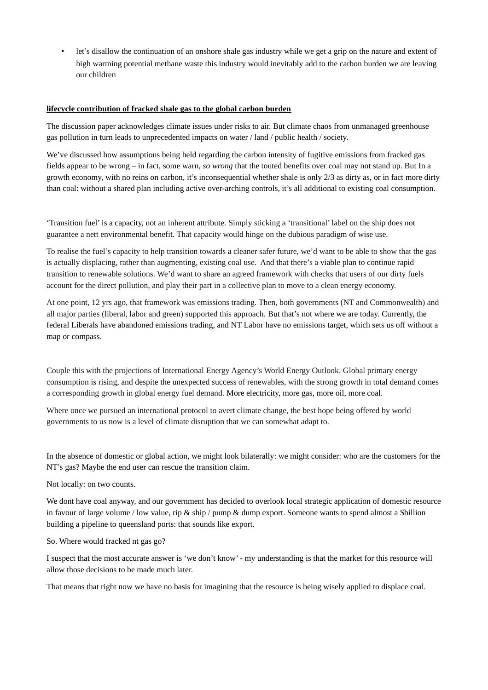• let's disallow the continuation of an onshore shale gas industry while we get a grip on the nature and extent of high warming potential methane waste this industry would inevitably add to the carbon burden we are leaving our children

### **lifecycle contribution of fracked shale gas to the global carbon burden**

The discussion paper acknowledges climate issues under risks to air. But climate chaos from unmanaged greenhouse gas pollution in turn leads to unprecedented impacts on water / land / public health / society.

We've discussed how assumptions being held regarding the carbon intensity of fugitive emissions from fracked gas fields appear to be wrong – in fact, some warn, *so wrong* that the touted benefits over coal may not stand up. But In a growth economy, with no reins on carbon, it's inconsequential whether shale is only 2/3 as dirty as, or in fact more dirty than coal: without a shared plan including active over-arching controls, it's all additional to existing coal consumption.

'Transition fuel' is a capacity, not an inherent attribute. Simply sticking a 'transitional' label on the ship does not guarantee a nett environmental benefit. That capacity would hinge on the dubious paradigm of wise use.

To realise the fuel's capacity to help transition towards a cleaner safer future, we'd want to be able to show that the gas is actually displacing, rather than augmenting, existing coal use. And that there's a viable plan to continue rapid transition to renewable solutions. We'd want to share an agreed framework with checks that users of our dirty fuels account for the direct pollution, and play their part in a collective plan to move to a clean energy economy.

At one point, 12 yrs ago, that framework was emissions trading. Then, both governments (NT and Commonwealth) and all major parties (liberal, labor and green) supported this approach. But that's not where we are today. Currently, the federal Liberals have abandoned emissions trading, and NT Labor have no emissions target, which sets us off without a map or compass.

Couple this with the projections of International Energy Agency's World Energy Outlook. Global primary energy consumption is rising, and despite the unexpected success of renewables, with the strong growth in total demand comes a corresponding growth in global energy fuel demand. More electricity, more gas, more oil, more coal.

Where once we pursued an international protocol to avert climate change, the best hope being offered by world governments to us now is a level of climate disruption that we can somewhat adapt to.

In the absence of domestic or global action, we might look bilaterally: we might consider: who are the customers for the NT's gas? Maybe the end user can rescue the transition claim.

Not locally: on two counts.

We dont have coal anyway, and our government has decided to overlook local strategic application of domestic resource in favour of large volume / low value, rip & ship / pump & dump export. Someone wants to spend almost a \$billion building a pipeline to queensland ports: that sounds like export.

So. Where would fracked nt gas go?

I suspect that the most accurate answer is 'we don't know' - my understanding is that the market for this resource will allow those decisions to be made much later.

That means that right now we have no basis for imagining that the resource is being wisely applied to displace coal.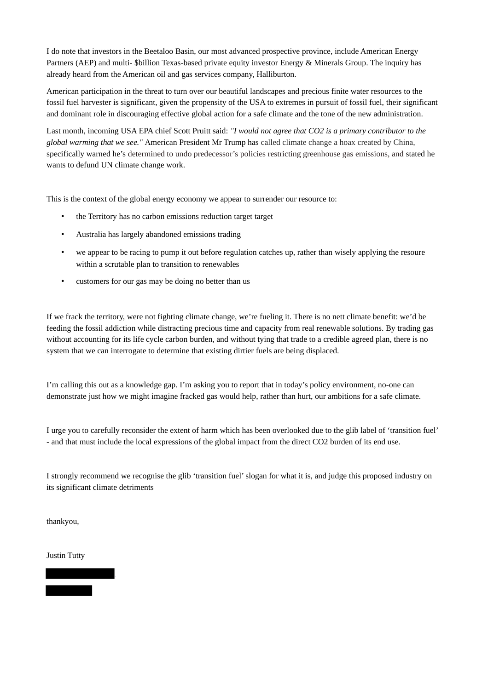I do note that investors in the Beetaloo Basin, our most advanced prospective province, include American Energy Partners (AEP) and multi- \$billion Texas-based private equity investor Energy & Minerals Group. The inquiry has already heard from the American oil and gas services company, Halliburton.

American participation in the threat to turn over our beautiful landscapes and precious finite water resources to the fossil fuel harvester is significant, given the propensity of the USA to extremes in pursuit of fossil fuel, their significant and dominant role in discouraging effective global action for a safe climate and the tone of the new administration.

Last month, incoming USA EPA chief Scott Pruitt said: *"I would not agree that CO2 is a primary contributor to the global warming that we see."* American President Mr Trump has called climate change a hoax created by China, specifically warned he's determined to undo predecessor's policies restricting greenhouse gas emissions, and stated he wants to defund UN climate change work.

This is the context of the global energy economy we appear to surrender our resource to:

- the Territory has no carbon emissions reduction target target
- Australia has largely abandoned emissions trading
- we appear to be racing to pump it out before regulation catches up, rather than wisely applying the resoure within a scrutable plan to transition to renewables
- customers for our gas may be doing no better than us

If we frack the territory, were not fighting climate change, we're fueling it. There is no nett climate benefit: we'd be feeding the fossil addiction while distracting precious time and capacity from real renewable solutions. By trading gas without accounting for its life cycle carbon burden, and without tying that trade to a credible agreed plan, there is no system that we can interrogate to determine that existing dirtier fuels are being displaced.

I'm calling this out as a knowledge gap. I'm asking you to report that in today's policy environment, no-one can demonstrate just how we might imagine fracked gas would help, rather than hurt, our ambitions for a safe climate.

I urge you to carefully reconsider the extent of harm which has been overlooked due to the glib label of 'transition fuel' - and that must include the local expressions of the global impact from the direct CO2 burden of its end use.

I strongly recommend we recognise the glib 'transition fuel' slogan for what it is, and judge this proposed industry on its significant climate detriments

thankyou,

Justin Tutty